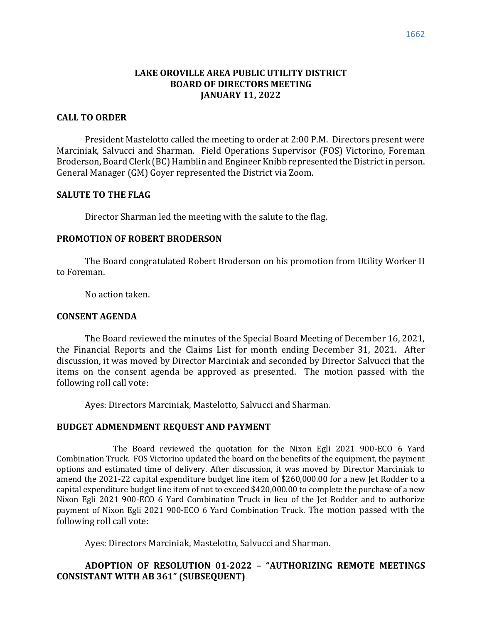## **LAKE OROVILLE AREA PUBLIC UTILITY DISTRICT BOARD OF DIRECTORS MEETING JANUARY 11, 2022**

### **CALL TO ORDER**

President Mastelotto called the meeting to order at 2:00 P.M. Directors present were Marciniak, Salvucci and Sharman. Field Operations Supervisor (FOS) Victorino, Foreman Broderson, Board Clerk (BC) Hamblin and Engineer Knibb represented the District in person. General Manager (GM) Goyer represented the District via Zoom.

### **SALUTE TO THE FLAG**

Director Sharman led the meeting with the salute to the flag.

#### **PROMOTION OF ROBERT BRODERSON**

The Board congratulated Robert Broderson on his promotion from Utility Worker II to Foreman.

No action taken.

#### **CONSENT AGENDA**

The Board reviewed the minutes of the Special Board Meeting of December 16, 2021, the Financial Reports and the Claims List for month ending December 31, 2021. After discussion, it was moved by Director Marciniak and seconded by Director Salvucci that the items on the consent agenda be approved as presented. The motion passed with the following roll call vote:

Ayes: Directors Marciniak, Mastelotto, Salvucci and Sharman.

### **BUDGET ADMENDMENT REQUEST AND PAYMENT**

The Board reviewed the quotation for the Nixon Egli 2021 900-ECO 6 Yard Combination Truck. FOS Victorino updated the board on the benefits of the equipment, the payment options and estimated time of delivery. After discussion, it was moved by Director Marciniak to amend the 2021-22 capital expenditure budget line item of \$260,000.00 for a new Jet Rodder to a capital expenditure budget line item of not to exceed \$420,000.00 to complete the purchase of a new Nixon Egli 2021 900-ECO 6 Yard Combination Truck in lieu of the Jet Rodder and to authorize payment of Nixon Egli 2021 900-ECO 6 Yard Combination Truck. The motion passed with the following roll call vote:

Ayes: Directors Marciniak, Mastelotto, Salvucci and Sharman.

## **ADOPTION OF RESOLUTION 01-2022 – "AUTHORIZING REMOTE MEETINGS CONSISTANT WITH AB 361" (SUBSEQUENT)**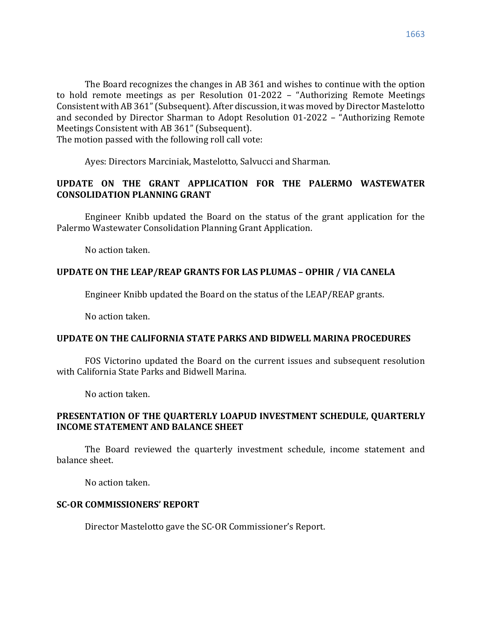The Board recognizes the changes in AB 361 and wishes to continue with the option to hold remote meetings as per Resolution 01-2022 – "Authorizing Remote Meetings Consistent with AB 361"(Subsequent). After discussion, it was moved by Director Mastelotto and seconded by Director Sharman to Adopt Resolution 01-2022 – "Authorizing Remote Meetings Consistent with AB 361" (Subsequent).

The motion passed with the following roll call vote:

Ayes: Directors Marciniak, Mastelotto, Salvucci and Sharman.

# **UPDATE ON THE GRANT APPLICATION FOR THE PALERMO WASTEWATER CONSOLIDATION PLANNING GRANT**

Engineer Knibb updated the Board on the status of the grant application for the Palermo Wastewater Consolidation Planning Grant Application.

No action taken.

# **UPDATE ON THE LEAP/REAP GRANTS FOR LAS PLUMAS – OPHIR / VIA CANELA**

Engineer Knibb updated the Board on the status of the LEAP/REAP grants.

No action taken.

# **UPDATE ON THE CALIFORNIA STATE PARKS AND BIDWELL MARINA PROCEDURES**

FOS Victorino updated the Board on the current issues and subsequent resolution with California State Parks and Bidwell Marina.

No action taken.

# **PRESENTATION OF THE QUARTERLY LOAPUD INVESTMENT SCHEDULE, QUARTERLY INCOME STATEMENT AND BALANCE SHEET**

The Board reviewed the quarterly investment schedule, income statement and balance sheet.

No action taken.

# **SC-OR COMMISSIONERS' REPORT**

Director Mastelotto gave the SC-OR Commissioner's Report.